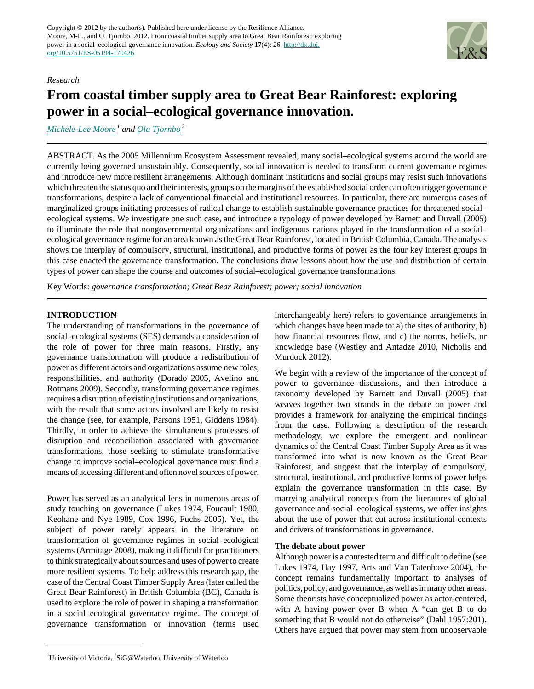

#### *Research*

# **From coastal timber supply area to Great Bear Rainforest: exploring power in a social–ecological governance innovation.**

*[Michele-Lee Moore](mailto:mlmoore@uvic.ca)<sup>1</sup> and [Ola Tjornbo](mailto:ola.tjornbo@gmail.com)<sup>2</sup>*

ABSTRACT. As the 2005 Millennium Ecosystem Assessment revealed, many social–ecological systems around the world are currently being governed unsustainably. Consequently, social innovation is needed to transform current governance regimes and introduce new more resilient arrangements. Although dominant institutions and social groups may resist such innovations which threaten the status quo and their interests, groups on the margins of the established social order can often trigger governance transformations, despite a lack of conventional financial and institutional resources. In particular, there are numerous cases of marginalized groups initiating processes of radical change to establish sustainable governance practices for threatened social– ecological systems. We investigate one such case, and introduce a typology of power developed by Barnett and Duvall (2005) to illuminate the role that nongovernmental organizations and indigenous nations played in the transformation of a social– ecological governance regime for an area known as the Great Bear Rainforest, located in British Columbia, Canada. The analysis shows the interplay of compulsory, structural, institutional, and productive forms of power as the four key interest groups in this case enacted the governance transformation. The conclusions draw lessons about how the use and distribution of certain types of power can shape the course and outcomes of social–ecological governance transformations.

Key Words: *governance transformation; Great Bear Rainforest; power; social innovation*

# **INTRODUCTION**

The understanding of transformations in the governance of social–ecological systems (SES) demands a consideration of the role of power for three main reasons. Firstly, any governance transformation will produce a redistribution of power as different actors and organizations assume new roles, responsibilities, and authority (Dorado 2005, Avelino and Rotmans 2009). Secondly, transforming governance regimes requires a disruption of existing institutions and organizations, with the result that some actors involved are likely to resist the change (see, for example, Parsons 1951, Giddens 1984). Thirdly, in order to achieve the simultaneous processes of disruption and reconciliation associated with governance transformations, those seeking to stimulate transformative change to improve social–ecological governance must find a means of accessing different and often novel sources of power.

Power has served as an analytical lens in numerous areas of study touching on governance (Lukes 1974, Foucault 1980, Keohane and Nye 1989, Cox 1996, Fuchs 2005). Yet, the subject of power rarely appears in the literature on transformation of governance regimes in social–ecological systems (Armitage 2008), making it difficult for practitioners to think strategically about sources and uses of power to create more resilient systems. To help address this research gap, the case of the Central Coast Timber Supply Area (later called the Great Bear Rainforest) in British Columbia (BC), Canada is used to explore the role of power in shaping a transformation in a social–ecological governance regime. The concept of governance transformation or innovation (terms used interchangeably here) refers to governance arrangements in which changes have been made to: a) the sites of authority, b) how financial resources flow, and c) the norms, beliefs, or knowledge base (Westley and Antadze 2010, Nicholls and Murdock 2012).

We begin with a review of the importance of the concept of power to governance discussions, and then introduce a taxonomy developed by Barnett and Duvall (2005) that weaves together two strands in the debate on power and provides a framework for analyzing the empirical findings from the case. Following a description of the research methodology, we explore the emergent and nonlinear dynamics of the Central Coast Timber Supply Area as it was transformed into what is now known as the Great Bear Rainforest, and suggest that the interplay of compulsory, structural, institutional, and productive forms of power helps explain the governance transformation in this case. By marrying analytical concepts from the literatures of global governance and social–ecological systems, we offer insights about the use of power that cut across institutional contexts and drivers of transformations in governance.

#### **The debate about power**

Although power is a contested term and difficult to define (see Lukes 1974, Hay 1997, Arts and Van Tatenhove 2004), the concept remains fundamentally important to analyses of politics, policy, and governance, as well as in many other areas. Some theorists have conceptualized power as actor-centered, with A having power over B when A "can get B to do something that B would not do otherwise" (Dahl 1957:201). Others have argued that power may stem from unobservable

<sup>&</sup>lt;sup>1</sup>University of Victoria,  ${}^{2}$ SiG@Waterloo, University of Waterloo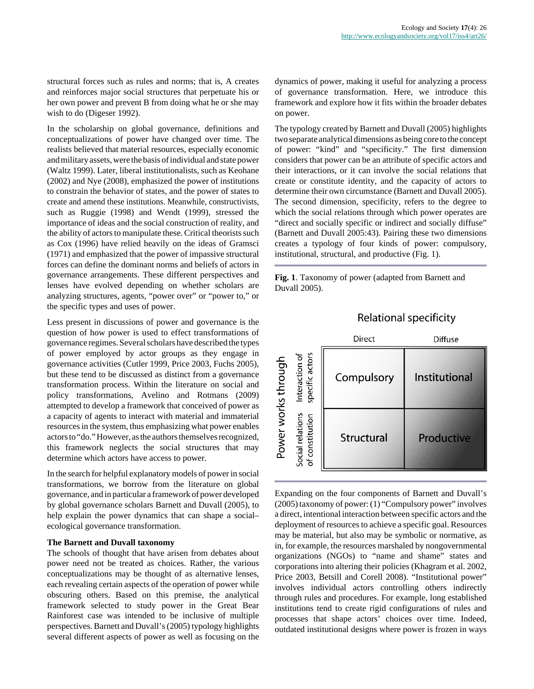structural forces such as rules and norms; that is, A creates and reinforces major social structures that perpetuate his or her own power and prevent B from doing what he or she may wish to do (Digeser 1992).

In the scholarship on global governance, definitions and conceptualizations of power have changed over time. The realists believed that material resources, especially economic and military assets, were the basis of individual and state power (Waltz 1999). Later, liberal institutionalists, such as Keohane (2002) and Nye (2008), emphasized the power of institutions to constrain the behavior of states, and the power of states to create and amend these institutions. Meanwhile, constructivists, such as Ruggie (1998) and Wendt (1999), stressed the importance of ideas and the social construction of reality, and the ability of actors to manipulate these. Critical theorists such as Cox (1996) have relied heavily on the ideas of Gramsci (1971) and emphasized that the power of impassive structural forces can define the dominant norms and beliefs of actors in governance arrangements. These different perspectives and lenses have evolved depending on whether scholars are analyzing structures, agents, "power over" or "power to," or the specific types and uses of power.

Less present in discussions of power and governance is the question of how power is used to effect transformations of governance regimes. Several scholars have described the types of power employed by actor groups as they engage in governance activities (Cutler 1999, Price 2003, Fuchs 2005), but these tend to be discussed as distinct from a governance transformation process. Within the literature on social and policy transformations, Avelino and Rotmans (2009) attempted to develop a framework that conceived of power as a capacity of agents to interact with material and immaterial resources in the system, thus emphasizing what power enables actors to "do." However, as the authors themselves recognized, this framework neglects the social structures that may determine which actors have access to power.

In the search for helpful explanatory models of power in social transformations, we borrow from the literature on global governance, and in particular a framework of power developed by global governance scholars Barnett and Duvall (2005), to help explain the power dynamics that can shape a social– ecological governance transformation.

#### **The Barnett and Duvall taxonomy**

The schools of thought that have arisen from debates about power need not be treated as choices. Rather, the various conceptualizations may be thought of as alternative lenses, each revealing certain aspects of the operation of power while obscuring others. Based on this premise, the analytical framework selected to study power in the Great Bear Rainforest case was intended to be inclusive of multiple perspectives. Barnett and Duvall's (2005) typology highlights several different aspects of power as well as focusing on the dynamics of power, making it useful for analyzing a process of governance transformation. Here, we introduce this framework and explore how it fits within the broader debates on power.

The typology created by Barnett and Duvall (2005) highlights two separate analytical dimensions as being core to the concept of power: "kind" and "specificity." The first dimension considers that power can be an attribute of specific actors and their interactions, or it can involve the social relations that create or constitute identity, and the capacity of actors to determine their own circumstance (Barnett and Duvall 2005). The second dimension, specificity, refers to the degree to which the social relations through which power operates are "direct and socially specific or indirect and socially diffuse" (Barnett and Duvall 2005:43). Pairing these two dimensions creates a typology of four kinds of power: compulsory, institutional, structural, and productive (Fig. 1).

**Fig. 1**. Taxonomy of power (adapted from Barnett and Duvall 2005).



# Relational specificity

Expanding on the four components of Barnett and Duvall's (2005) taxonomy of power: (1) "Compulsory power" involves a direct, intentional interaction between specific actors and the deployment of resources to achieve a specific goal. Resources may be material, but also may be symbolic or normative, as in, for example, the resources marshaled by nongovernmental organizations (NGOs) to "name and shame" states and corporations into altering their policies (Khagram et al. 2002, Price 2003, Betsill and Corell 2008). "Institutional power" involves individual actors controlling others indirectly through rules and procedures. For example, long established institutions tend to create rigid configurations of rules and processes that shape actors' choices over time. Indeed, outdated institutional designs where power is frozen in ways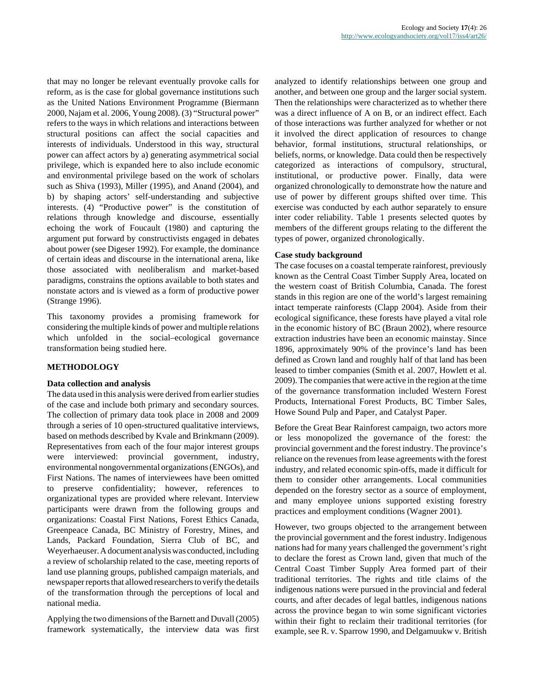that may no longer be relevant eventually provoke calls for reform, as is the case for global governance institutions such as the United Nations Environment Programme (Biermann 2000, Najam et al. 2006, Young 2008). (3) "Structural power" refers to the ways in which relations and interactions between structural positions can affect the social capacities and interests of individuals. Understood in this way, structural power can affect actors by a) generating asymmetrical social privilege, which is expanded here to also include economic and environmental privilege based on the work of scholars such as Shiva (1993), Miller (1995), and Anand (2004), and b) by shaping actors' self-understanding and subjective interests. (4) "Productive power" is the constitution of relations through knowledge and discourse, essentially echoing the work of Foucault (1980) and capturing the argument put forward by constructivists engaged in debates about power (see Digeser 1992). For example, the dominance of certain ideas and discourse in the international arena, like those associated with neoliberalism and market-based paradigms, constrains the options available to both states and nonstate actors and is viewed as a form of productive power (Strange 1996).

This taxonomy provides a promising framework for considering the multiple kinds of power and multiple relations which unfolded in the social–ecological governance transformation being studied here.

# **METHODOLOGY**

#### **Data collection and analysis**

The data used in this analysis were derived from earlier studies of the case and include both primary and secondary sources. The collection of primary data took place in 2008 and 2009 through a series of 10 open-structured qualitative interviews, based on methods described by Kvale and Brinkmann (2009). Representatives from each of the four major interest groups were interviewed: provincial government, industry, environmental nongovernmental organizations (ENGOs), and First Nations. The names of interviewees have been omitted to preserve confidentiality; however, references to organizational types are provided where relevant. Interview participants were drawn from the following groups and organizations: Coastal First Nations, Forest Ethics Canada, Greenpeace Canada, BC Ministry of Forestry, Mines, and Lands, Packard Foundation, Sierra Club of BC, and Weyerhaeuser. A document analysis was conducted, including a review of scholarship related to the case, meeting reports of land use planning groups, published campaign materials, and newspaper reports that allowed researchers to verify the details of the transformation through the perceptions of local and national media.

Applying the two dimensions of the Barnett and Duvall (2005) framework systematically, the interview data was first analyzed to identify relationships between one group and another, and between one group and the larger social system. Then the relationships were characterized as to whether there was a direct influence of A on B, or an indirect effect. Each of those interactions was further analyzed for whether or not it involved the direct application of resources to change behavior, formal institutions, structural relationships, or beliefs, norms, or knowledge. Data could then be respectively categorized as interactions of compulsory, structural, institutional, or productive power. Finally, data were organized chronologically to demonstrate how the nature and use of power by different groups shifted over time. This exercise was conducted by each author separately to ensure inter coder reliability. Table 1 presents selected quotes by members of the different groups relating to the different the types of power, organized chronologically.

#### **Case study background**

The case focuses on a coastal temperate rainforest, previously known as the Central Coast Timber Supply Area, located on the western coast of British Columbia, Canada. The forest stands in this region are one of the world's largest remaining intact temperate rainforests (Clapp 2004). Aside from their ecological significance, these forests have played a vital role in the economic history of BC (Braun 2002), where resource extraction industries have been an economic mainstay. Since 1896, approximately 90% of the province's land has been defined as Crown land and roughly half of that land has been leased to timber companies (Smith et al. 2007, Howlett et al. 2009). The companies that were active in the region at the time of the governance transformation included Western Forest Products, International Forest Products, BC Timber Sales, Howe Sound Pulp and Paper, and Catalyst Paper.

Before the Great Bear Rainforest campaign, two actors more or less monopolized the governance of the forest: the provincial government and the forest industry. The province's reliance on the revenues from lease agreements with the forest industry, and related economic spin-offs, made it difficult for them to consider other arrangements. Local communities depended on the forestry sector as a source of employment, and many employee unions supported existing forestry practices and employment conditions (Wagner 2001).

However, two groups objected to the arrangement between the provincial government and the forest industry. Indigenous nations had for many years challenged the government's right to declare the forest as Crown land, given that much of the Central Coast Timber Supply Area formed part of their traditional territories. The rights and title claims of the indigenous nations were pursued in the provincial and federal courts, and after decades of legal battles, indigenous nations across the province began to win some significant victories within their fight to reclaim their traditional territories (for example, see R. v. Sparrow 1990, and Delgamuukw v. British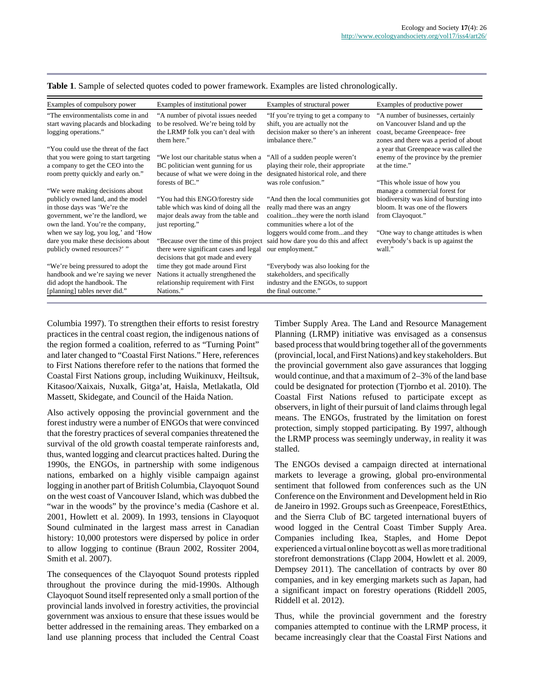| Examples of compulsory power                                                                                      | Examples of institutional power                                                                                               | Examples of structural power                                                                                                           | Examples of productive power                                                                                                                   |
|-------------------------------------------------------------------------------------------------------------------|-------------------------------------------------------------------------------------------------------------------------------|----------------------------------------------------------------------------------------------------------------------------------------|------------------------------------------------------------------------------------------------------------------------------------------------|
| "The environmentalists come in and<br>start waving placards and blockading<br>logging operations."                | "A number of pivotal issues needed<br>to be resolved. We're being told by<br>the LRMP folk you can't deal with<br>them here." | "If you're trying to get a company to<br>shift, you are actually not the<br>decision maker so there's an inherent<br>imbalance there." | "A number of businesses, certainly<br>on Vancouver Island and up the<br>coast, became Greenpeace-free<br>zones and there was a period of about |
| "You could use the threat of the fact                                                                             |                                                                                                                               |                                                                                                                                        | a year that Greenpeace was called the                                                                                                          |
| that you were going to start targeting<br>a company to get the CEO into the<br>room pretty quickly and early on." | "We lost our charitable status when a<br>BC politician went gunning for us<br>because of what we were doing in the            | "All of a sudden people weren't<br>playing their role, their appropriate<br>designated historical role, and there                      | enemy of the province by the premier<br>at the time."                                                                                          |
|                                                                                                                   | forests of BC."                                                                                                               | was role confusion."                                                                                                                   | "This whole issue of how you                                                                                                                   |
| "We were making decisions about                                                                                   |                                                                                                                               |                                                                                                                                        | manage a commercial forest for                                                                                                                 |
| publicly owned land, and the model                                                                                | "You had this ENGO/forestry side"                                                                                             | "And then the local communities got                                                                                                    | biodiversity was kind of bursting into                                                                                                         |
| in those days was 'We're the<br>government, we're the landlord, we<br>own the land. You're the company,           | table which was kind of doing all the<br>major deals away from the table and<br>just reporting."                              | really mad there was an angry<br>coalitionthey were the north island<br>communities where a lot of the                                 | bloom. It was one of the flowers<br>from Clayoquot."                                                                                           |
| when we say log, you log,' and 'How                                                                               |                                                                                                                               | loggers would come fromand they                                                                                                        | "One way to change attitudes is when                                                                                                           |
| dare you make these decisions about<br>publicly owned resources?"                                                 | "Because over the time of this project"<br>there were significant cases and legal<br>decisions that got made and every        | said how dare you do this and affect<br>our employment."                                                                               | everybody's back is up against the<br>wall."                                                                                                   |
| "We're being pressured to adopt the                                                                               | time they got made around First                                                                                               | "Everybody was also looking for the                                                                                                    |                                                                                                                                                |
| handbook and we're saying we never                                                                                | Nations it actually strengthened the                                                                                          | stakeholders, and specifically                                                                                                         |                                                                                                                                                |
| did adopt the handbook. The                                                                                       | relationship requirement with First                                                                                           | industry and the ENGOs, to support                                                                                                     |                                                                                                                                                |
| [planning] tables never did."                                                                                     | Nations."                                                                                                                     | the final outcome."                                                                                                                    |                                                                                                                                                |

**Table 1**. Sample of selected quotes coded to power framework. Examples are listed chronologically.

Columbia 1997). To strengthen their efforts to resist forestry practices in the central coast region, the indigenous nations of the region formed a coalition, referred to as "Turning Point" and later changed to "Coastal First Nations." Here, references to First Nations therefore refer to the nations that formed the Coastal First Nations group, including Wuikinuxv, Heiltsuk, Kitasoo/Xaixais, Nuxalk, Gitga'at, Haisla, Metlakatla, Old Massett, Skidegate, and Council of the Haida Nation.

Also actively opposing the provincial government and the forest industry were a number of ENGOs that were convinced that the forestry practices of several companies threatened the survival of the old growth coastal temperate rainforests and, thus, wanted logging and clearcut practices halted. During the 1990s, the ENGOs, in partnership with some indigenous nations, embarked on a highly visible campaign against logging in another part of British Columbia, Clayoquot Sound on the west coast of Vancouver Island, which was dubbed the "war in the woods" by the province's media (Cashore et al. 2001, Howlett et al. 2009). In 1993, tensions in Clayoquot Sound culminated in the largest mass arrest in Canadian history: 10,000 protestors were dispersed by police in order to allow logging to continue (Braun 2002, Rossiter 2004, Smith et al. 2007).

The consequences of the Clayoquot Sound protests rippled throughout the province during the mid-1990s. Although Clayoquot Sound itself represented only a small portion of the provincial lands involved in forestry activities, the provincial government was anxious to ensure that these issues would be better addressed in the remaining areas. They embarked on a land use planning process that included the Central Coast Timber Supply Area. The Land and Resource Management Planning (LRMP) initiative was envisaged as a consensus based process that would bring together all of the governments (provincial, local, and First Nations) and key stakeholders. But the provincial government also gave assurances that logging would continue, and that a maximum of 2–3% of the land base could be designated for protection (Tjornbo et al. 2010). The Coastal First Nations refused to participate except as observers, in light of their pursuit of land claims through legal means. The ENGOs, frustrated by the limitation on forest protection, simply stopped participating. By 1997, although the LRMP process was seemingly underway, in reality it was stalled.

The ENGOs devised a campaign directed at international markets to leverage a growing, global pro-environmental sentiment that followed from conferences such as the UN Conference on the Environment and Development held in Rio de Janeiro in 1992. Groups such as Greenpeace, ForestEthics, and the Sierra Club of BC targeted international buyers of wood logged in the Central Coast Timber Supply Area. Companies including Ikea, Staples, and Home Depot experienced a virtual online boycott as well as more traditional storefront demonstrations (Clapp 2004, Howlett et al. 2009, Dempsey 2011). The cancellation of contracts by over 80 companies, and in key emerging markets such as Japan, had a significant impact on forestry operations (Riddell 2005, Riddell et al. 2012).

Thus, while the provincial government and the forestry companies attempted to continue with the LRMP process, it became increasingly clear that the Coastal First Nations and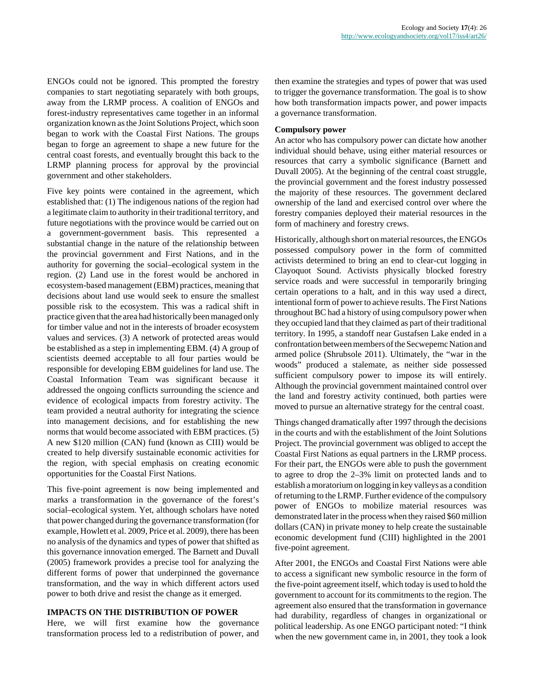ENGOs could not be ignored. This prompted the forestry companies to start negotiating separately with both groups, away from the LRMP process. A coalition of ENGOs and forest-industry representatives came together in an informal organization known as the Joint Solutions Project, which soon began to work with the Coastal First Nations. The groups began to forge an agreement to shape a new future for the central coast forests, and eventually brought this back to the LRMP planning process for approval by the provincial government and other stakeholders.

Five key points were contained in the agreement, which established that: (1) The indigenous nations of the region had a legitimate claim to authority in their traditional territory, and future negotiations with the province would be carried out on a government-government basis. This represented a substantial change in the nature of the relationship between the provincial government and First Nations, and in the authority for governing the social–ecological system in the region. (2) Land use in the forest would be anchored in ecosystem-based management (EBM) practices, meaning that decisions about land use would seek to ensure the smallest possible risk to the ecosystem. This was a radical shift in practice given that the area had historically been managed only for timber value and not in the interests of broader ecosystem values and services. (3) A network of protected areas would be established as a step in implementing EBM. (4) A group of scientists deemed acceptable to all four parties would be responsible for developing EBM guidelines for land use. The Coastal Information Team was significant because it addressed the ongoing conflicts surrounding the science and evidence of ecological impacts from forestry activity. The team provided a neutral authority for integrating the science into management decisions, and for establishing the new norms that would become associated with EBM practices. (5) A new \$120 million (CAN) fund (known as CIII) would be created to help diversify sustainable economic activities for the region, with special emphasis on creating economic opportunities for the Coastal First Nations.

This five-point agreement is now being implemented and marks a transformation in the governance of the forest's social–ecological system. Yet, although scholars have noted that power changed during the governance transformation (for example, Howlett et al. 2009, Price et al. 2009), there has been no analysis of the dynamics and types of power that shifted as this governance innovation emerged. The Barnett and Duvall (2005) framework provides a precise tool for analyzing the different forms of power that underpinned the governance transformation, and the way in which different actors used power to both drive and resist the change as it emerged.

#### **IMPACTS ON THE DISTRIBUTION OF POWER**

Here, we will first examine how the governance transformation process led to a redistribution of power, and then examine the strategies and types of power that was used to trigger the governance transformation. The goal is to show how both transformation impacts power, and power impacts a governance transformation.

#### **Compulsory power**

An actor who has compulsory power can dictate how another individual should behave, using either material resources or resources that carry a symbolic significance (Barnett and Duvall 2005). At the beginning of the central coast struggle, the provincial government and the forest industry possessed the majority of these resources. The government declared ownership of the land and exercised control over where the forestry companies deployed their material resources in the form of machinery and forestry crews.

Historically, although short on material resources, the ENGOs possessed compulsory power in the form of committed activists determined to bring an end to clear-cut logging in Clayoquot Sound. Activists physically blocked forestry service roads and were successful in temporarily bringing certain operations to a halt, and in this way used a direct, intentional form of power to achieve results. The First Nations throughout BC had a history of using compulsory power when they occupied land that they claimed as part of their traditional territory. In 1995, a standoff near Gustafsen Lake ended in a confrontation between members of the Secwepemc Nation and armed police (Shrubsole 2011). Ultimately, the "war in the woods" produced a stalemate, as neither side possessed sufficient compulsory power to impose its will entirely. Although the provincial government maintained control over the land and forestry activity continued, both parties were moved to pursue an alternative strategy for the central coast.

Things changed dramatically after 1997 through the decisions in the courts and with the establishment of the Joint Solutions Project. The provincial government was obliged to accept the Coastal First Nations as equal partners in the LRMP process. For their part, the ENGOs were able to push the government to agree to drop the 2–3% limit on protected lands and to establish a moratorium on logging in key valleys as a condition of returning to the LRMP. Further evidence of the compulsory power of ENGOs to mobilize material resources was demonstrated later in the process when they raised \$60 million dollars (CAN) in private money to help create the sustainable economic development fund (CIII) highlighted in the 2001 five-point agreement.

After 2001, the ENGOs and Coastal First Nations were able to access a significant new symbolic resource in the form of the five-point agreement itself, which today is used to hold the government to account for its commitments to the region. The agreement also ensured that the transformation in governance had durability, regardless of changes in organizational or political leadership. As one ENGO participant noted: "I think when the new government came in, in 2001, they took a look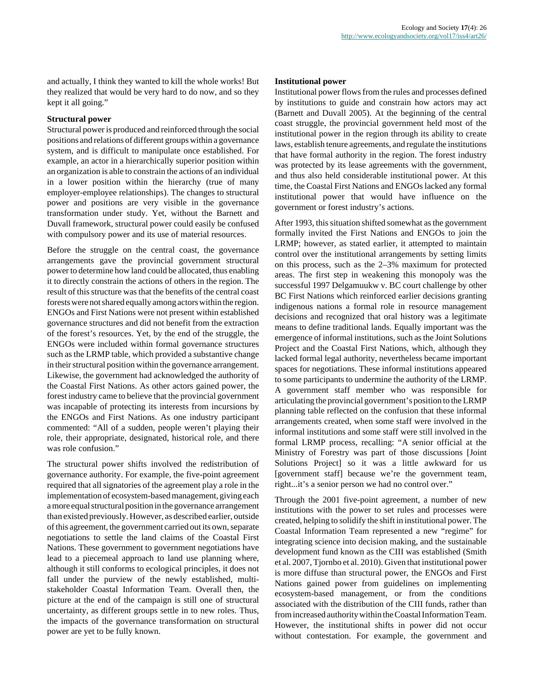and actually, I think they wanted to kill the whole works! But they realized that would be very hard to do now, and so they kept it all going."

#### **Structural power**

Structural power is produced and reinforced through the social positions and relations of different groups within a governance system, and is difficult to manipulate once established. For example, an actor in a hierarchically superior position within an organization is able to constrain the actions of an individual in a lower position within the hierarchy (true of many employer-employee relationships). The changes to structural power and positions are very visible in the governance transformation under study. Yet, without the Barnett and Duvall framework, structural power could easily be confused with compulsory power and its use of material resources.

Before the struggle on the central coast, the governance arrangements gave the provincial government structural power to determine how land could be allocated, thus enabling it to directly constrain the actions of others in the region. The result of this structure was that the benefits of the central coast forests were not shared equally among actors within the region. ENGOs and First Nations were not present within established governance structures and did not benefit from the extraction of the forest's resources. Yet, by the end of the struggle, the ENGOs were included within formal governance structures such as the LRMP table, which provided a substantive change in their structural position within the governance arrangement. Likewise, the government had acknowledged the authority of the Coastal First Nations. As other actors gained power, the forest industry came to believe that the provincial government was incapable of protecting its interests from incursions by the ENGOs and First Nations. As one industry participant commented: "All of a sudden, people weren't playing their role, their appropriate, designated, historical role, and there was role confusion."

The structural power shifts involved the redistribution of governance authority. For example, the five-point agreement required that all signatories of the agreement play a role in the implementation of ecosystem-based management, giving each a more equal structural position in the governance arrangement than existed previously. However, as described earlier, outside of this agreement, the government carried out its own, separate negotiations to settle the land claims of the Coastal First Nations. These government to government negotiations have lead to a piecemeal approach to land use planning where, although it still conforms to ecological principles, it does not fall under the purview of the newly established, multistakeholder Coastal Information Team. Overall then, the picture at the end of the campaign is still one of structural uncertainty, as different groups settle in to new roles. Thus, the impacts of the governance transformation on structural power are yet to be fully known.

#### **Institutional power**

Institutional power flows from the rules and processes defined by institutions to guide and constrain how actors may act (Barnett and Duvall 2005). At the beginning of the central coast struggle, the provincial government held most of the institutional power in the region through its ability to create laws, establish tenure agreements, and regulate the institutions that have formal authority in the region. The forest industry was protected by its lease agreements with the government, and thus also held considerable institutional power. At this time, the Coastal First Nations and ENGOs lacked any formal institutional power that would have influence on the government or forest industry's actions.

After 1993, this situation shifted somewhat as the government formally invited the First Nations and ENGOs to join the LRMP; however, as stated earlier, it attempted to maintain control over the institutional arrangements by setting limits on this process, such as the 2–3% maximum for protected areas. The first step in weakening this monopoly was the successful 1997 Delgamuukw v. BC court challenge by other BC First Nations which reinforced earlier decisions granting indigenous nations a formal role in resource management decisions and recognized that oral history was a legitimate means to define traditional lands. Equally important was the emergence of informal institutions, such as the Joint Solutions Project and the Coastal First Nations, which, although they lacked formal legal authority, nevertheless became important spaces for negotiations. These informal institutions appeared to some participants to undermine the authority of the LRMP. A government staff member who was responsible for articulating the provincial government's position to the LRMP planning table reflected on the confusion that these informal arrangements created, when some staff were involved in the informal institutions and some staff were still involved in the formal LRMP process, recalling: "A senior official at the Ministry of Forestry was part of those discussions [Joint Solutions Project] so it was a little awkward for us [government staff] because we're the government team, right...it's a senior person we had no control over."

Through the 2001 five-point agreement, a number of new institutions with the power to set rules and processes were created, helping to solidify the shift in institutional power. The Coastal Information Team represented a new "regime" for integrating science into decision making, and the sustainable development fund known as the CIII was established (Smith et al. 2007, Tjornbo et al. 2010). Given that institutional power is more diffuse than structural power, the ENGOs and First Nations gained power from guidelines on implementing ecosystem-based management, or from the conditions associated with the distribution of the CIII funds, rather than from increased authority within the Coastal Information Team. However, the institutional shifts in power did not occur without contestation. For example, the government and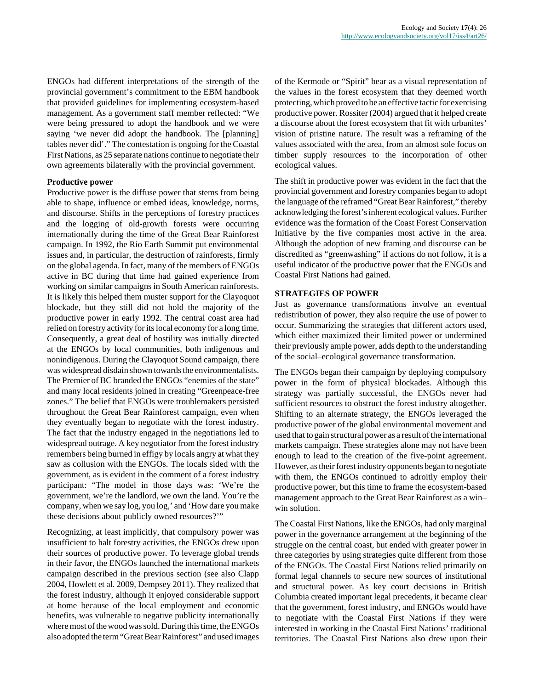ENGOs had different interpretations of the strength of the provincial government's commitment to the EBM handbook that provided guidelines for implementing ecosystem-based management. As a government staff member reflected: "We were being pressured to adopt the handbook and we were saying 'we never did adopt the handbook. The [planning] tables never did'." The contestation is ongoing for the Coastal First Nations, as 25 separate nations continue to negotiate their own agreements bilaterally with the provincial government.

#### **Productive power**

Productive power is the diffuse power that stems from being able to shape, influence or embed ideas, knowledge, norms, and discourse. Shifts in the perceptions of forestry practices and the logging of old-growth forests were occurring internationally during the time of the Great Bear Rainforest campaign. In 1992, the Rio Earth Summit put environmental issues and, in particular, the destruction of rainforests, firmly on the global agenda. In fact, many of the members of ENGOs active in BC during that time had gained experience from working on similar campaigns in South American rainforests. It is likely this helped them muster support for the Clayoquot blockade, but they still did not hold the majority of the productive power in early 1992. The central coast area had relied on forestry activity for its local economy for a long time. Consequently, a great deal of hostility was initially directed at the ENGOs by local communities, both indigenous and nonindigenous. During the Clayoquot Sound campaign, there was widespread disdain shown towards the environmentalists. The Premier of BC branded the ENGOs "enemies of the state" and many local residents joined in creating "Greenpeace-free zones." The belief that ENGOs were troublemakers persisted throughout the Great Bear Rainforest campaign, even when they eventually began to negotiate with the forest industry. The fact that the industry engaged in the negotiations led to widespread outrage. A key negotiator from the forest industry remembers being burned in effigy by locals angry at what they saw as collusion with the ENGOs. The locals sided with the government, as is evident in the comment of a forest industry participant: "The model in those days was: 'We're the government, we're the landlord, we own the land. You're the company, when we say log, you log,' and 'How dare you make these decisions about publicly owned resources?'"

Recognizing, at least implicitly, that compulsory power was insufficient to halt forestry activities, the ENGOs drew upon their sources of productive power. To leverage global trends in their favor, the ENGOs launched the international markets campaign described in the previous section (see also Clapp 2004, Howlett et al. 2009, Dempsey 2011). They realized that the forest industry, although it enjoyed considerable support at home because of the local employment and economic benefits, was vulnerable to negative publicity internationally where most of the wood was sold. During this time, the ENGOs also adopted the term "Great Bear Rainforest" and used images of the Kermode or "Spirit" bear as a visual representation of the values in the forest ecosystem that they deemed worth protecting, which proved to be an effective tactic for exercising productive power. Rossiter (2004) argued that it helped create a discourse about the forest ecosystem that fit with urbanites' vision of pristine nature. The result was a reframing of the values associated with the area, from an almost sole focus on timber supply resources to the incorporation of other ecological values.

The shift in productive power was evident in the fact that the provincial government and forestry companies began to adopt the language of the reframed "Great Bear Rainforest," thereby acknowledging the forest's inherent ecological values. Further evidence was the formation of the Coast Forest Conservation Initiative by the five companies most active in the area. Although the adoption of new framing and discourse can be discredited as "greenwashing" if actions do not follow, it is a useful indicator of the productive power that the ENGOs and Coastal First Nations had gained.

# **STRATEGIES OF POWER**

Just as governance transformations involve an eventual redistribution of power, they also require the use of power to occur. Summarizing the strategies that different actors used, which either maximized their limited power or undermined their previously ample power, adds depth to the understanding of the social–ecological governance transformation.

The ENGOs began their campaign by deploying compulsory power in the form of physical blockades. Although this strategy was partially successful, the ENGOs never had sufficient resources to obstruct the forest industry altogether. Shifting to an alternate strategy, the ENGOs leveraged the productive power of the global environmental movement and used that to gain structural power as a result of the international markets campaign. These strategies alone may not have been enough to lead to the creation of the five-point agreement. However, as their forest industry opponents began to negotiate with them, the ENGOs continued to adroitly employ their productive power, but this time to frame the ecosystem-based management approach to the Great Bear Rainforest as a win– win solution.

The Coastal First Nations, like the ENGOs, had only marginal power in the governance arrangement at the beginning of the struggle on the central coast, but ended with greater power in three categories by using strategies quite different from those of the ENGOs. The Coastal First Nations relied primarily on formal legal channels to secure new sources of institutional and structural power. As key court decisions in British Columbia created important legal precedents, it became clear that the government, forest industry, and ENGOs would have to negotiate with the Coastal First Nations if they were interested in working in the Coastal First Nations' traditional territories. The Coastal First Nations also drew upon their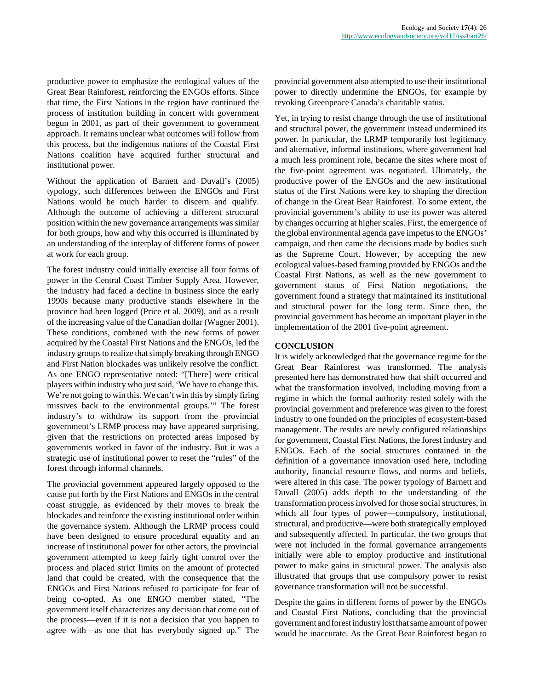productive power to emphasize the ecological values of the Great Bear Rainforest, reinforcing the ENGOs efforts. Since that time, the First Nations in the region have continued the process of institution building in concert with government begun in 2001, as part of their government to government approach. It remains unclear what outcomes will follow from this process, but the indigenous nations of the Coastal First Nations coalition have acquired further structural and institutional power.

Without the application of Barnett and Duvall's (2005) typology, such differences between the ENGOs and First Nations would be much harder to discern and qualify. Although the outcome of achieving a different structural position within the new governance arrangements was similar for both groups, how and why this occurred is illuminated by an understanding of the interplay of different forms of power at work for each group.

The forest industry could initially exercise all four forms of power in the Central Coast Timber Supply Area. However, the industry had faced a decline in business since the early 1990s because many productive stands elsewhere in the province had been logged (Price et al. 2009), and as a result of the increasing value of the Canadian dollar (Wagner 2001). These conditions, combined with the new forms of power acquired by the Coastal First Nations and the ENGOs, led the industry groups to realize that simply breaking through ENGO and First Nation blockades was unlikely resolve the conflict. As one ENGO representative noted: "[There] were critical players within industry who just said, 'We have to change this. We're not going to win this. We can't win this by simply firing missives back to the environmental groups.'" The forest industry's to withdraw its support from the provincial government's LRMP process may have appeared surprising, given that the restrictions on protected areas imposed by governments worked in favor of the industry. But it was a strategic use of institutional power to reset the "rules" of the forest through informal channels.

The provincial government appeared largely opposed to the cause put forth by the First Nations and ENGOs in the central coast struggle, as evidenced by their moves to break the blockades and reinforce the existing institutional order within the governance system. Although the LRMP process could have been designed to ensure procedural equality and an increase of institutional power for other actors, the provincial government attempted to keep fairly tight control over the process and placed strict limits on the amount of protected land that could be created, with the consequence that the ENGOs and First Nations refused to participate for fear of being co-opted. As one ENGO member stated, "The government itself characterizes any decision that come out of the process—even if it is not a decision that you happen to agree with—as one that has everybody signed up." The provincial government also attempted to use their institutional power to directly undermine the ENGOs, for example by revoking Greenpeace Canada's charitable status.

Yet, in trying to resist change through the use of institutional and structural power, the government instead undermined its power. In particular, the LRMP temporarily lost legitimacy and alternative, informal institutions, where government had a much less prominent role, became the sites where most of the five-point agreement was negotiated. Ultimately, the productive power of the ENGOs and the new institutional status of the First Nations were key to shaping the direction of change in the Great Bear Rainforest. To some extent, the provincial government's ability to use its power was altered by changes occurring at higher scales. First, the emergence of the global environmental agenda gave impetus to the ENGOs' campaign, and then came the decisions made by bodies such as the Supreme Court. However, by accepting the new ecological values-based framing provided by ENGOs and the Coastal First Nations, as well as the new government to government status of First Nation negotiations, the government found a strategy that maintained its institutional and structural power for the long term. Since then, the provincial government has become an important player in the implementation of the 2001 five-point agreement.

### **CONCLUSION**

It is widely acknowledged that the governance regime for the Great Bear Rainforest was transformed. The analysis presented here has demonstrated how that shift occurred and what the transformation involved, including moving from a regime in which the formal authority rested solely with the provincial government and preference was given to the forest industry to one founded on the principles of ecosystem-based management. The results are newly configured relationships for government, Coastal First Nations, the forest industry and ENGOs. Each of the social structures contained in the definition of a governance innovation used here, including authority, financial resource flows, and norms and beliefs, were altered in this case. The power typology of Barnett and Duvall (2005) adds depth to the understanding of the transformation process involved for those social structures, in which all four types of power—compulsory, institutional, structural, and productive—were both strategically employed and subsequently affected. In particular, the two groups that were not included in the formal governance arrangements initially were able to employ productive and institutional power to make gains in structural power. The analysis also illustrated that groups that use compulsory power to resist governance transformation will not be successful.

Despite the gains in different forms of power by the ENGOs and Coastal First Nations, concluding that the provincial government and forest industry lost that same amount of power would be inaccurate. As the Great Bear Rainforest began to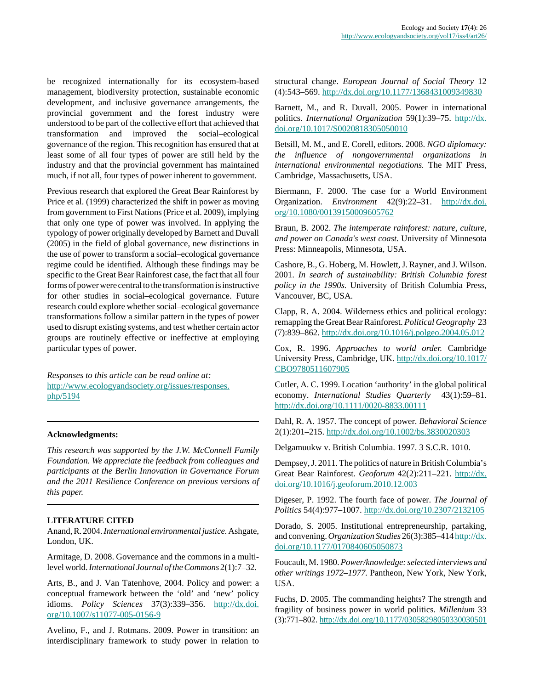be recognized internationally for its ecosystem-based management, biodiversity protection, sustainable economic development, and inclusive governance arrangements, the provincial government and the forest industry were understood to be part of the collective effort that achieved that transformation and improved the social–ecological governance of the region. This recognition has ensured that at least some of all four types of power are still held by the industry and that the provincial government has maintained much, if not all, four types of power inherent to government.

Previous research that explored the Great Bear Rainforest by Price et al. (1999) characterized the shift in power as moving from government to First Nations (Price et al. 2009), implying that only one type of power was involved. In applying the typology of power originally developed by Barnett and Duvall (2005) in the field of global governance, new distinctions in the use of power to transform a social–ecological governance regime could be identified. Although these findings may be specific to the Great Bear Rainforest case, the fact that all four forms of power were central to the transformation is instructive for other studies in social–ecological governance. Future research could explore whether social–ecological governance transformations follow a similar pattern in the types of power used to disrupt existing systems, and test whether certain actor groups are routinely effective or ineffective at employing particular types of power.

*Responses to this article can be read online at:* [http://www.ecologyandsociety.org/issues/responses.](http://www.ecologyandsociety.org/issues/responses.php/5194) [php/5194](http://www.ecologyandsociety.org/issues/responses.php/5194)

#### **Acknowledgments:**

*This research was supported by the J.W. McConnell Family Foundation. We appreciate the feedback from colleagues and participants at the Berlin Innovation in Governance Forum and the 2011 Resilience Conference on previous versions of this paper.*

# **LITERATURE CITED**

Anand, R. 2004. *International environmental justice.* Ashgate, London, UK.

Armitage, D. 2008. Governance and the commons in a multilevel world. *International Journal of the Commons* 2(1):7–32.

Arts, B., and J. Van Tatenhove, 2004. Policy and power: a conceptual framework between the 'old' and 'new' policy idioms. *Policy Sciences* 37(3):339–356. [http://dx.doi.](http://dx.doi.org/10.1007/s11077-005-0156-9) [org/10.1007/s11077-005-0156-9](http://dx.doi.org/10.1007/s11077-005-0156-9)

Avelino, F., and J. Rotmans. 2009. Power in transition: an interdisciplinary framework to study power in relation to structural change. *European Journal of Social Theory* 12 (4):543–569.<http://dx.doi.org/10.1177/1368431009349830>

Barnett, M., and R. Duvall. 2005. Power in international politics. *International Organization* 59(1):39–75. [http://dx.](http://dx.doi.org/10.1017/S0020818305050010) [doi.org/10.1017/S0020818305050010](http://dx.doi.org/10.1017/S0020818305050010)

Betsill, M. M., and E. Corell, editors. 2008. *NGO diplomacy: the influence of nongovernmental organizations in international environmental negotiations.* The MIT Press, Cambridge, Massachusetts, USA.

Biermann, F. 2000. The case for a World Environment Organization. *Environment* 42(9):22–31. [http://dx.doi.](http://dx.doi.org/10.1080/00139150009605762) [org/10.1080/00139150009605762](http://dx.doi.org/10.1080/00139150009605762)

Braun, B. 2002. *The intemperate rainforest: nature, culture, and power on Canada's west coast.* University of Minnesota Press: Minneapolis, Minnesota, USA.

Cashore, B., G. Hoberg, M. Howlett, J. Rayner, and J. Wilson. 2001. *In search of sustainability: British Columbia forest policy in the 1990s.* University of British Columbia Press, Vancouver, BC, USA.

Clapp, R. A. 2004. Wilderness ethics and political ecology: remapping the Great Bear Rainforest. *Political Geography* 23 (7):839–862. <http://dx.doi.org/10.1016/j.polgeo.2004.05.012>

Cox, R. 1996. *Approaches to world order.* Cambridge University Press, Cambridge, UK. [http://dx.doi.org/10.1017/](http://dx.doi.org/10.1017/CBO9780511607905) [CBO9780511607905](http://dx.doi.org/10.1017/CBO9780511607905)

Cutler, A. C. 1999. Location 'authority' in the global political economy. *International Studies Quarterly* 43(1):59–81. <http://dx.doi.org/10.1111/0020-8833.00111>

Dahl, R. A. 1957. The concept of power. *Behavioral Science* 2(1):201–215.<http://dx.doi.org/10.1002/bs.3830020303>

Delgamuukw v. British Columbia. 1997. 3 S.C.R. 1010.

Dempsey, J. 2011. The politics of nature in British Columbia's Great Bear Rainforest. *Geoforum* 42(2):211–221. [http://dx.](http://dx.doi.org/10.1016/j.geoforum.2010.12.003) [doi.org/10.1016/j.geoforum.2010.12.003](http://dx.doi.org/10.1016/j.geoforum.2010.12.003)

Digeser, P. 1992. The fourth face of power. *The Journal of Politics* 54(4):977–1007.<http://dx.doi.org/10.2307/2132105>

Dorado, S. 2005. Institutional entrepreneurship, partaking, and convening. *Organization Studies* 26(3):385–414 [http://dx.](http://dx.doi.org/10.1177/0170840605050873) [doi.org/10.1177/0170840605050873](http://dx.doi.org/10.1177/0170840605050873) 

Foucault, M. 1980. *Power/knowledge: selected interviews and other writings 1972–1977.* Pantheon, New York, New York, USA.

Fuchs, D. 2005. The commanding heights? The strength and fragility of business power in world politics. *Millenium* 33 (3):771–802.<http://dx.doi.org/10.1177/03058298050330030501>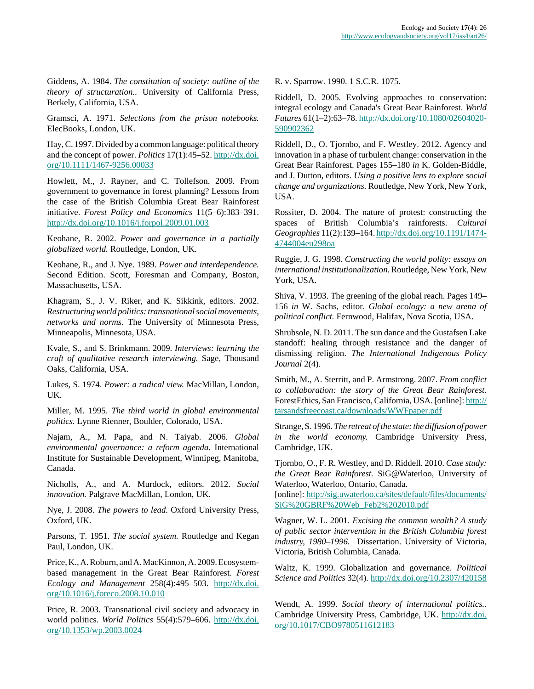Giddens, A. 1984. *The constitution of society: outline of the theory of structuration.*. University of California Press, Berkely, California, USA.

Gramsci, A. 1971. *Selections from the prison notebooks.* ElecBooks, London, UK.

Hay, C. 1997. Divided by a common language: political theory and the concept of power. *Politics* 17(1):45–52. [http://dx.doi.](http://dx.doi.org/10.1111/1467-9256.00033) [org/10.1111/1467-9256.00033](http://dx.doi.org/10.1111/1467-9256.00033)

Howlett, M., J. Rayner, and C. Tollefson. 2009. From government to governance in forest planning? Lessons from the case of the British Columbia Great Bear Rainforest initiative. *Forest Policy and Economics* 11(5–6):383–391. <http://dx.doi.org/10.1016/j.forpol.2009.01.003>

Keohane, R. 2002. *Power and governance in a partially globalized world.* Routledge, London, UK.

Keohane, R., and J. Nye. 1989. *Power and interdependence.* Second Edition. Scott, Foresman and Company, Boston, Massachusetts, USA.

Khagram, S., J. V. Riker, and K. Sikkink, editors. 2002. *Restructuring world politics: transnational social movements, networks and norms.* The University of Minnesota Press, Minneapolis, Minnesota, USA.

Kvale, S., and S. Brinkmann. 2009. *Interviews: learning the craft of qualitative research interviewing.* Sage, Thousand Oaks, California, USA.

Lukes, S. 1974. *Power: a radical view.* MacMillan, London, UK.

Miller, M. 1995. *The third world in global environmental politics.* Lynne Rienner, Boulder, Colorado, USA.

Najam, A., M. Papa, and N. Taiyab. 2006. *Global environmental governance: a reform agenda.* International Institute for Sustainable Development, Winnipeg, Manitoba, Canada.

Nicholls, A., and A. Murdock, editors. 2012. *Social innovation.* Palgrave MacMillan, London, UK.

Nye, J. 2008. *The powers to lead.* Oxford University Press, Oxford, UK.

Parsons, T. 1951. *The social system.* Routledge and Kegan Paul, London, UK.

Price, K., A. Roburn, and A. MacKinnon, A. 2009. Ecosystembased management in the Great Bear Rainforest. *Forest Ecology and Management* 258(4):495–503. [http://dx.doi.](http://dx.doi.org/10.1016/j.foreco.2008.10.010) [org/10.1016/j.foreco.2008.10.010](http://dx.doi.org/10.1016/j.foreco.2008.10.010)

Price, R. 2003. Transnational civil society and advocacy in world politics. *World Politics* 55(4):579–606. [http://dx.doi.](http://dx.doi.org/10.1353/wp.2003.0024) [org/10.1353/wp.2003.0024](http://dx.doi.org/10.1353/wp.2003.0024)

R. v. Sparrow. 1990. 1 S.C.R. 1075.

Riddell, D. 2005. Evolving approaches to conservation: integral ecology and Canada's Great Bear Rainforest. *World Futures* 61(1–2):63–78. [http://dx.doi.org/10.1080/02604020-](http://dx.doi.org/10.1080/02604020590902362) [590902362](http://dx.doi.org/10.1080/02604020590902362)

Riddell, D., O. Tjornbo, and F. Westley. 2012. Agency and innovation in a phase of turbulent change: conservation in the Great Bear Rainforest. Pages 155–180 *in* K. Golden-Biddle, and J. Dutton, editors. *Using a positive lens to explore social change and organizations.* Routledge, New York, New York, USA.

Rossiter, D. 2004. The nature of protest: constructing the spaces of British Columbia's rainforests. *Cultural Geographies* 11(2):139–164. [http://dx.doi.org/10.1191/1474-](http://dx.doi.org/10.1191/14744744004eu298oa) [4744004eu298oa](http://dx.doi.org/10.1191/14744744004eu298oa)

Ruggie, J. G. 1998. *Constructing the world polity: essays on international institutionalization.* Routledge, New York, New York, USA.

Shiva, V. 1993. The greening of the global reach. Pages 149– 156 *in* W. Sachs, editor. *Global ecology: a new arena of political conflict.* Fernwood, Halifax, Nova Scotia, USA.

Shrubsole, N. D. 2011. The sun dance and the Gustafsen Lake standoff: healing through resistance and the danger of dismissing religion. *The International Indigenous Policy Journal* 2(4).

Smith, M., A. Sterritt, and P. Armstrong. 2007. *From conflict to collaboration: the story of the Great Bear Rainforest.* ForestEthics, San Francisco, California, USA. [online]: [http://](http://tarsandsfreecoast.ca/downloads/WWFpaper.pdf) [tarsandsfreecoast.ca/downloads/WWFpaper.pdf](http://tarsandsfreecoast.ca/downloads/WWFpaper.pdf)

Strange, S. 1996. *The retreat of the state: the diffusion of power in the world economy.* Cambridge University Press, Cambridge, UK.

Tjornbo, O., F. R. Westley, and D. Riddell. 2010. *Case study: the Great Bear Rainforest.* SiG@Waterloo, University of Waterloo, Waterloo, Ontario, Canada.

[online]: [http://sig.uwaterloo.ca/sites/default/files/documents/](http://sig.uwaterloo.ca/sites/default/files/documents/SiG%20GBRF%20Web_Feb2%202010.pdf) [SiG%20GBRF%20Web\\_Feb2%202010.pdf](http://sig.uwaterloo.ca/sites/default/files/documents/SiG%20GBRF%20Web_Feb2%202010.pdf)

Wagner, W. L. 2001. *Excising the common wealth? A study of public sector intervention in the British Columbia forest industry, 1980–1996.* Dissertation. University of Victoria, Victoria, British Columbia, Canada.

Waltz, K. 1999. Globalization and governance. *Political Science and Politics* 32(4).<http://dx.doi.org/10.2307/420158>

Wendt, A. 1999. *Social theory of international politics.*. Cambridge University Press, Cambridge, UK. [http://dx.doi.](http://dx.doi.org/10.1017/CBO9780511612183) [org/10.1017/CBO9780511612183](http://dx.doi.org/10.1017/CBO9780511612183)